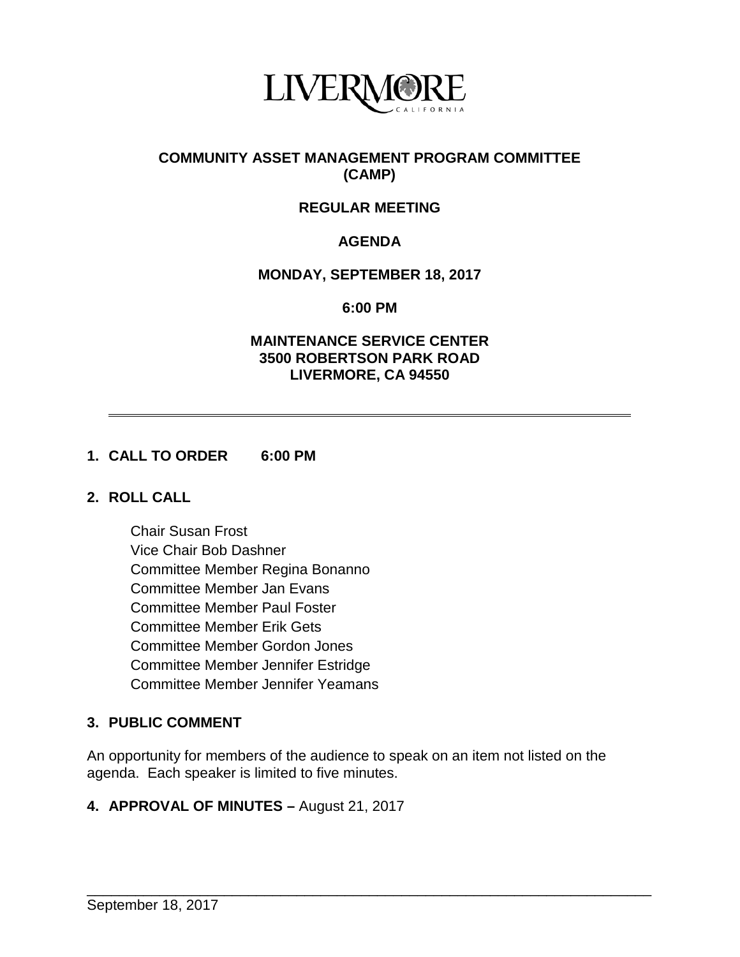

# **COMMUNITY ASSET MANAGEMENT PROGRAM COMMITTEE (CAMP)**

# **REGULAR MEETING**

# **AGENDA**

### **MONDAY, SEPTEMBER 18, 2017**

**6:00 PM**

### **MAINTENANCE SERVICE CENTER 3500 ROBERTSON PARK ROAD LIVERMORE, CA 94550**

### **1. CALL TO ORDER 6:00 PM**

### **2. ROLL CALL**

Chair Susan Frost Vice Chair Bob Dashner Committee Member Regina Bonanno Committee Member Jan Evans Committee Member Paul Foster Committee Member Erik Gets Committee Member Gordon Jones Committee Member Jennifer Estridge Committee Member Jennifer Yeamans

# **3. PUBLIC COMMENT**

An opportunity for members of the audience to speak on an item not listed on the agenda. Each speaker is limited to five minutes.

### **4. APPROVAL OF MINUTES –** August 21, 2017